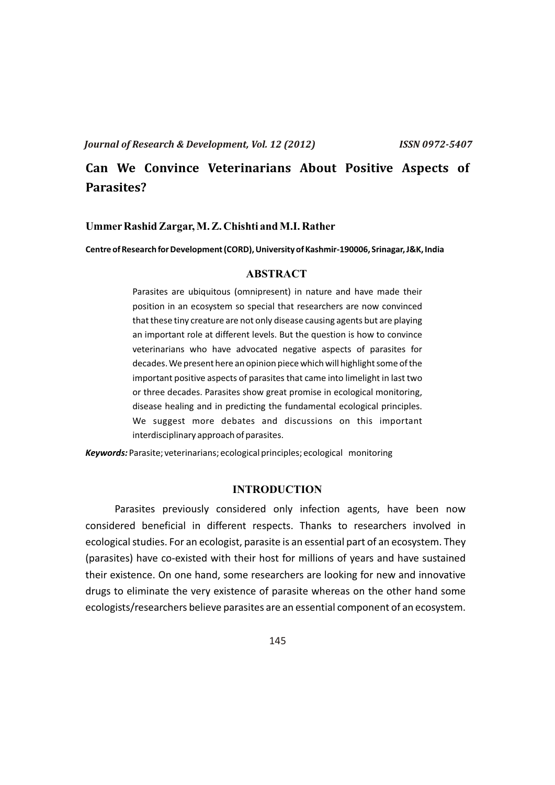# **Can We Convince Veterinarians About Positive Aspects of Parasites?**

### **UmmerRashid Zargar, M. Z. Chishti and M.I. Rather**

**Centre of Research for Development (CORD), University of Kashmir-190006, Srinagar, J&K, India** 

## **ABSTRACT**

Parasites are ubiquitous (omnipresent) in nature and have made their position in an ecosystem so special that researchers are now convinced that these tiny creature are not only disease causing agents but are playing an important role at different levels. But the question is how to convince veterinarians who have advocated negative aspects of parasites for decades. We present here an opinion piece which will highlight some of the important positive aspects of parasites that came into limelight in last two or three decades. Parasites show great promise in ecological monitoring, disease healing and in predicting the fundamental ecological principles. We suggest more debates and discussions on this important interdisciplinary approach of parasites.

*Keywords:* Parasite; veterinarians; ecological principles; ecological monitoring

#### **INTRODUCTION**

Parasites previously considered only infection agents, have been now considered beneficial in different respects. Thanks to researchers involved in ecological studies. For an ecologist, parasite is an essential part of an ecosystem. They (parasites) have co-existed with their host for millions of years and have sustained their existence. On one hand, some researchers are looking for new and innovative drugs to eliminate the very existence of parasite whereas on the other hand some ecologists/researchers believe parasites are an essential component of an ecosystem.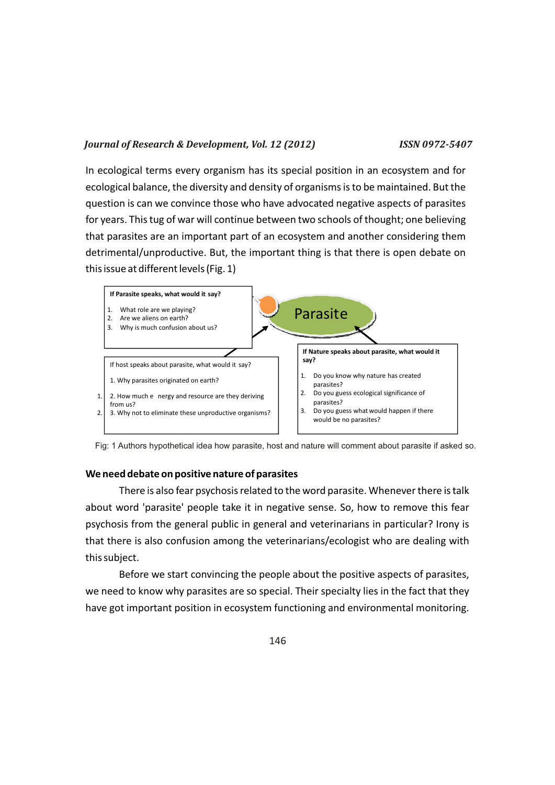In ecological terms every organism has its special position in an ecosystem and for ecological balance, the diversity and density of organisms is to be maintained. But the question is can we convince those who have advocated negative aspects of parasites for years. This tug of war will continue between two schools of thought; one believing that parasites are an important part of an ecosystem and another considering them detrimental/unproductive. But, the important thing is that there is open debate on this issue at different levels (Fig. 1)



Fig: 1 Authors hypothetical idea how parasite, host and nature will comment about parasite if asked so.

## **We need debate on positive nature of parasites**

There is also fear psychosis related to the word parasite. Whenever there is talk about word 'parasite' people take it in negative sense. So, how to remove this fear psychosis from the general public in general and veterinarians in particular? Irony is that there is also confusion among the veterinarians/ecologist who are dealing with this subject.

Before we start convincing the people about the positive aspects of parasites, we need to know why parasites are so special. Their specialty lies in the fact that they have got important position in ecosystem functioning and environmental monitoring.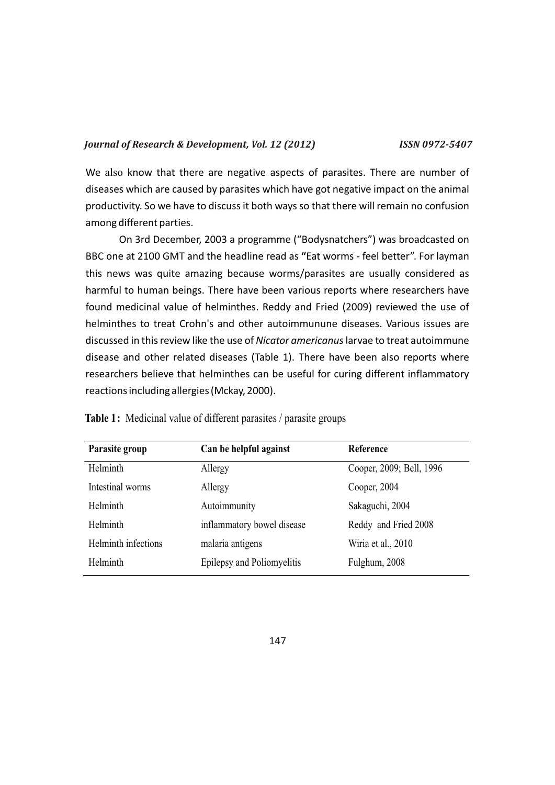We also know that there are negative aspects of parasites. There are number of diseases which are caused by parasites which have got negative impact on the animal productivity. So we have to discuss it both ways so that there will remain no confusion among different parties.

On 3rd December, 2003 a programme ("Bodysnatchers") was broadcasted on BBC one at 2100 GMT and the headline read as **"**Eat worms - feel better". For layman this news was quite amazing because worms/parasites are usually considered as harmful to human beings. There have been various reports where researchers have found medicinal value of helminthes. Reddy and Fried (2009) reviewed the use of helminthes to treat Crohn's and other autoimmunune diseases. Various issues are discussed in this review like the use of *Nicator americanus* larvae to treat autoimmune disease and other related diseases (Table 1). There have been also reports where researchers believe that helminthes can be useful for curing different inflammatory reactions including allergies (Mckay, 2000).

| Parasite group      | Can be helpful against     | Reference                |
|---------------------|----------------------------|--------------------------|
| Helminth            | Allergy                    | Cooper, 2009; Bell, 1996 |
| Intestinal worms    | Allergy                    | Cooper, 2004             |
| Helminth            | Autoimmunity               | Sakaguchi, 2004          |
| Helminth            | inflammatory bowel disease | Reddy and Fried 2008     |
| Helminth infections | malaria antigens           | Wiria et al., 2010       |
| Helminth            | Epilepsy and Poliomyelitis | Fulghum, 2008            |

**Table 1:** Medicinal value of different parasites / parasite groups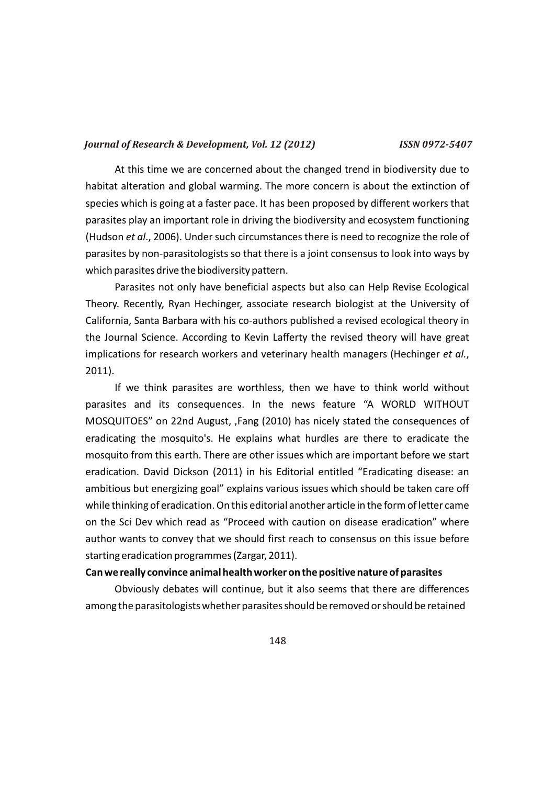At this time we are concerned about the changed trend in biodiversity due to habitat alteration and global warming. The more concern is about the extinction of species which is going at a faster pace. It has been proposed by different workers that parasites play an important role in driving the biodiversity and ecosystem functioning (Hudson *et al*., 2006). Under such circumstances there is need to recognize the role of parasites by non-parasitologists so that there is a joint consensus to look into ways by which parasites drive the biodiversity pattern.

Parasites not only have beneficial aspects but also can Help Revise Ecological Theory. Recently, Ryan Hechinger, associate research biologist at the University of California, Santa Barbara with his co-authors published a revised ecological theory in the Journal Science. According to Kevin Lafferty the revised theory will have great implications for research workers and veterinary health managers (Hechinger *et al.*, 2011).

If we think parasites are worthless, then we have to think world without parasites and its consequences. In the news feature "A WORLD WITHOUT MOSQUITOES" on 22nd August, ,Fang (2010) has nicely stated the consequences of eradicating the mosquito's. He explains what hurdles are there to eradicate the mosquito from this earth. There are other issues which are important before we start eradication. David Dickson (2011) in his Editorial entitled "Eradicating disease: an ambitious but energizing goal" explains various issues which should be taken care off while thinking of eradication. On this editorial another article in the form of letter came on the Sci Dev which read as "Proceed with caution on disease eradication" where author wants to convey that we should first reach to consensus on this issue before starting eradication programmes (Zargar, 2011).

#### **Can we really convince animal health worker on the positive nature of parasites**

Obviously debates will continue, but it also seems that there are differences among the parasitologists whether parasites should be removed or should be retained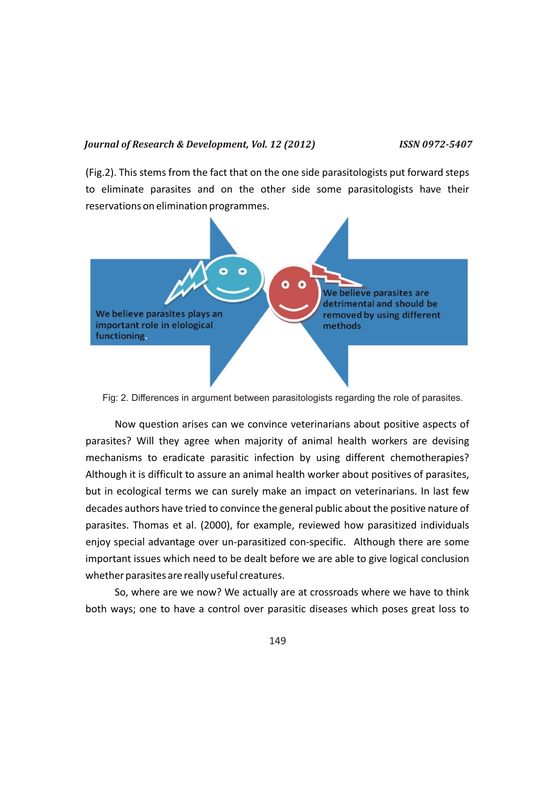(Fig.2). This stems from the fact that on the one side parasitologists put forward steps to eliminate parasites and on the other side some parasitologists have their reservations on elimination programmes.



Fig: 2. Differences in argument between parasitologists regarding the role of parasites.

Now question arises can we convince veterinarians about positive aspects of parasites? Will they agree when majority of animal health workers are devising mechanisms to eradicate parasitic infection by using different chemotherapies? Although it is difficult to assure an animal health worker about positives of parasites, but in ecological terms we can surely make an impact on veterinarians. In last few decades authors have tried to convince the general public about the positive nature of parasites. Thomas et al. (2000), for example, reviewed how parasitized individuals enjoy special advantage over un-parasitized con-specific. Although there are some important issues which need to be dealt before we are able to give logical conclusion whether parasites are really useful creatures.

So, where are we now? We actually are at crossroads where we have to think both ways; one to have a control over parasitic diseases which poses great loss to